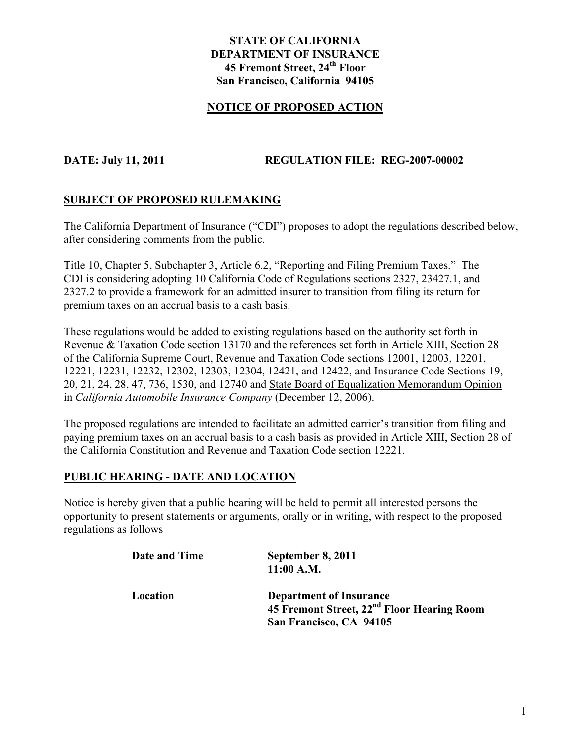#### **STATE OF CALIFORNIA DEPARTMENT OF INSURANCE 45 Fremont Street, 24th Floor San Francisco, California 94105**

#### **NOTICE OF PROPOSED ACTION**

#### **DATE: July 11, 2011 REGULATION FILE: REG-2007-00002**

#### **SUBJECT OF PROPOSED RULEMAKING**

The California Department of Insurance ("CDI") proposes to adopt the regulations described below, after considering comments from the public.

Title 10, Chapter 5, Subchapter 3, Article 6.2, "Reporting and Filing Premium Taxes." The CDI is considering adopting 10 California Code of Regulations sections 2327, 23427.1, and 2327.2 to provide a framework for an admitted insurer to transition from filing its return for premium taxes on an accrual basis to a cash basis.

These regulations would be added to existing regulations based on the authority set forth in Revenue & Taxation Code section 13170 and the references set forth in Article XIII, Section 28 of the California Supreme Court, Revenue and Taxation Code sections 12001, 12003, 12201, 12221, 12231, 12232, 12302, 12303, 12304, 12421, and 12422, and Insurance Code Sections 19, 20, 21, 24, 28, 47, 736, 1530, and 12740 and State Board of Equalization Memorandum Opinion in *California Automobile Insurance Company* (December 12, 2006).

The proposed regulations are intended to facilitate an admitted carrier's transition from filing and paying premium taxes on an accrual basis to a cash basis as provided in Article XIII, Section 28 of the California Constitution and Revenue and Taxation Code section 12221.

#### **PUBLIC HEARING - DATE AND LOCATION**

Notice is hereby given that a public hearing will be held to permit all interested persons the opportunity to present statements or arguments, orally or in writing, with respect to the proposed regulations as follows

| Date and Time | September 8, 2011<br>$11:00$ A.M.                                                                                   |
|---------------|---------------------------------------------------------------------------------------------------------------------|
| Location      | <b>Department of Insurance</b><br>45 Fremont Street, 22 <sup>nd</sup> Floor Hearing Room<br>San Francisco, CA 94105 |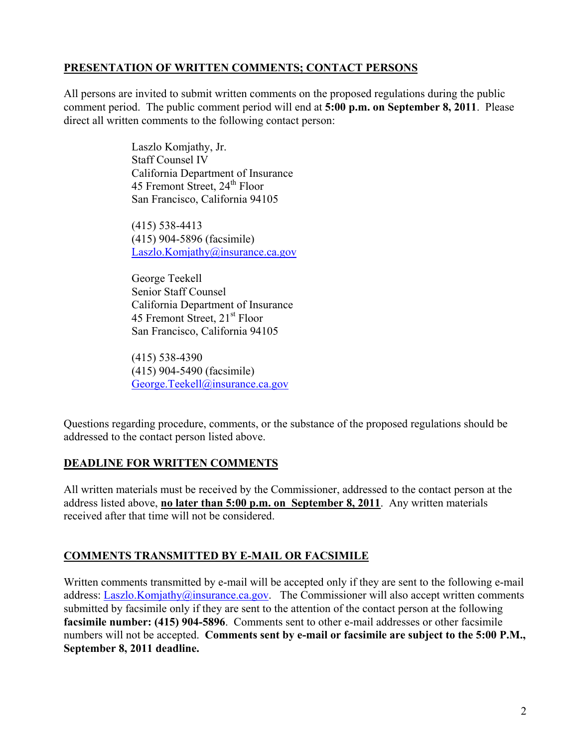## **PRESENTATION OF WRITTEN COMMENTS; CONTACT PERSONS**

All persons are invited to submit written comments on the proposed regulations during the public comment period. The public comment period will end at **5:00 p.m. on September 8, 2011**. Please direct all written comments to the following contact person:

> Laszlo Komjathy, Jr. Staff Counsel IV California Department of Insurance 45 Fremont Street, 24<sup>th</sup> Floor San Francisco, California 94105

 (415) 538-4413 (415) 904-5896 (facsimile) Laszlo.Komjathy@insurance.ca.gov

 George Teekell Senior Staff Counsel California Department of Insurance 45 Fremont Street, 21<sup>st</sup> Floor San Francisco, California 94105

 (415) 538-4390 (415) 904-5490 (facsimile) George.Teekell@insurance.ca.gov

Questions regarding procedure, comments, or the substance of the proposed regulations should be addressed to the contact person listed above.

## **DEADLINE FOR WRITTEN COMMENTS**

All written materials must be received by the Commissioner, addressed to the contact person at the address listed above, **no later than 5:00 p.m. on September 8, 2011**. Any written materials received after that time will not be considered.

## **COMMENTS TRANSMITTED BY E-MAIL OR FACSIMILE**

Written comments transmitted by e-mail will be accepted only if they are sent to the following e-mail address: Laszlo.Komjathy@insurance.ca.gov. The Commissioner will also accept written comments submitted by facsimile only if they are sent to the attention of the contact person at the following **facsimile number: (415) 904-5896**. Comments sent to other e-mail addresses or other facsimile numbers will not be accepted. **Comments sent by e-mail or facsimile are subject to the 5:00 P.M., September 8, 2011 deadline.**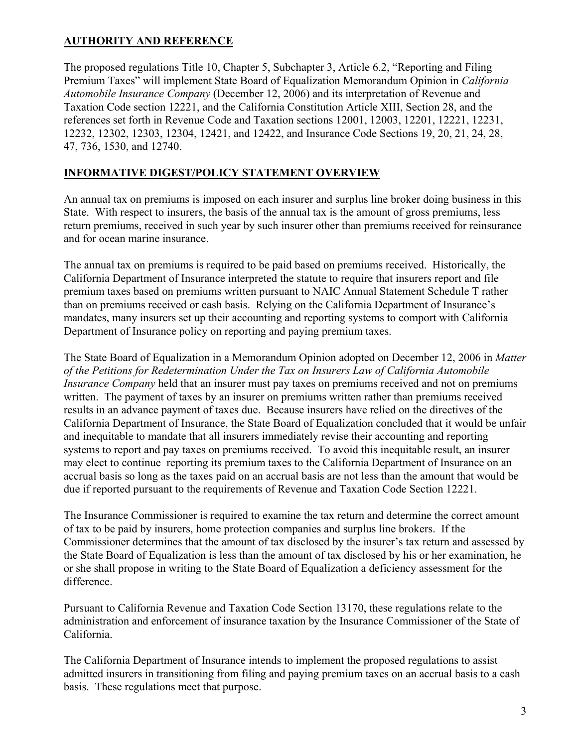# **AUTHORITY AND REFERENCE**

The proposed regulations Title 10, Chapter 5, Subchapter 3, Article 6.2, "Reporting and Filing Premium Taxes" will implement State Board of Equalization Memorandum Opinion in *California Automobile Insurance Company* (December 12, 2006) and its interpretation of Revenue and Taxation Code section 12221, and the California Constitution Article XIII, Section 28, and the references set forth in Revenue Code and Taxation sections 12001, 12003, 12201, 12221, 12231, 12232, 12302, 12303, 12304, 12421, and 12422, and Insurance Code Sections 19, 20, 21, 24, 28, 47, 736, 1530, and 12740.

## **INFORMATIVE DIGEST/POLICY STATEMENT OVERVIEW**

An annual tax on premiums is imposed on each insurer and surplus line broker doing business in this State. With respect to insurers, the basis of the annual tax is the amount of gross premiums, less return premiums, received in such year by such insurer other than premiums received for reinsurance and for ocean marine insurance.

The annual tax on premiums is required to be paid based on premiums received. Historically, the California Department of Insurance interpreted the statute to require that insurers report and file premium taxes based on premiums written pursuant to NAIC Annual Statement Schedule T rather than on premiums received or cash basis. Relying on the California Department of Insurance's mandates, many insurers set up their accounting and reporting systems to comport with California Department of Insurance policy on reporting and paying premium taxes.

The State Board of Equalization in a Memorandum Opinion adopted on December 12, 2006 in *Matter of the Petitions for Redetermination Under the Tax on Insurers Law of California Automobile Insurance Company* held that an insurer must pay taxes on premiums received and not on premiums written. The payment of taxes by an insurer on premiums written rather than premiums received results in an advance payment of taxes due. Because insurers have relied on the directives of the California Department of Insurance, the State Board of Equalization concluded that it would be unfair and inequitable to mandate that all insurers immediately revise their accounting and reporting systems to report and pay taxes on premiums received. To avoid this inequitable result, an insurer may elect to continue reporting its premium taxes to the California Department of Insurance on an accrual basis so long as the taxes paid on an accrual basis are not less than the amount that would be due if reported pursuant to the requirements of Revenue and Taxation Code Section 12221.

The Insurance Commissioner is required to examine the tax return and determine the correct amount of tax to be paid by insurers, home protection companies and surplus line brokers. If the Commissioner determines that the amount of tax disclosed by the insurer's tax return and assessed by the State Board of Equalization is less than the amount of tax disclosed by his or her examination, he or she shall propose in writing to the State Board of Equalization a deficiency assessment for the difference.

Pursuant to California Revenue and Taxation Code Section 13170, these regulations relate to the administration and enforcement of insurance taxation by the Insurance Commissioner of the State of California.

The California Department of Insurance intends to implement the proposed regulations to assist admitted insurers in transitioning from filing and paying premium taxes on an accrual basis to a cash basis. These regulations meet that purpose.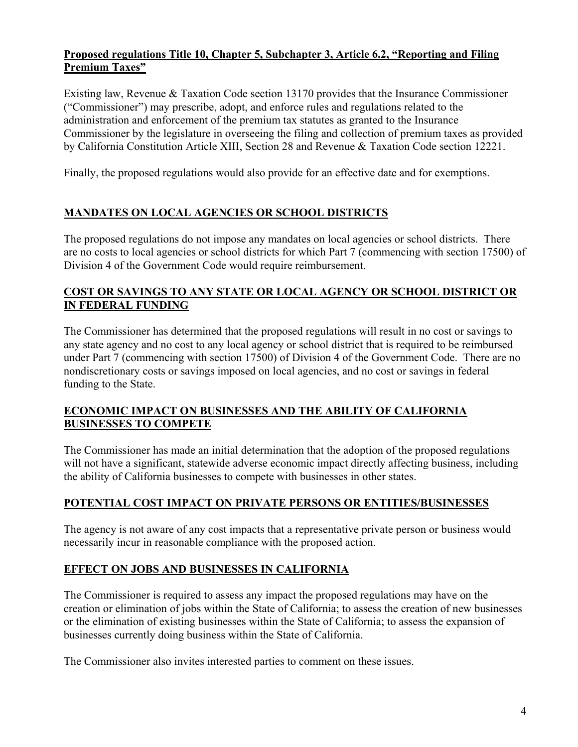#### **Proposed regulations Title 10, Chapter 5, Subchapter 3, Article 6.2, "Reporting and Filing Premium Taxes"**

Existing law, Revenue & Taxation Code section 13170 provides that the Insurance Commissioner ("Commissioner") may prescribe, adopt, and enforce rules and regulations related to the administration and enforcement of the premium tax statutes as granted to the Insurance Commissioner by the legislature in overseeing the filing and collection of premium taxes as provided by California Constitution Article XIII, Section 28 and Revenue & Taxation Code section 12221.

Finally, the proposed regulations would also provide for an effective date and for exemptions.

# **MANDATES ON LOCAL AGENCIES OR SCHOOL DISTRICTS**

The proposed regulations do not impose any mandates on local agencies or school districts. There are no costs to local agencies or school districts for which Part 7 (commencing with section 17500) of Division 4 of the Government Code would require reimbursement.

## **COST OR SAVINGS TO ANY STATE OR LOCAL AGENCY OR SCHOOL DISTRICT OR IN FEDERAL FUNDING**

The Commissioner has determined that the proposed regulations will result in no cost or savings to any state agency and no cost to any local agency or school district that is required to be reimbursed under Part 7 (commencing with section 17500) of Division 4 of the Government Code. There are no nondiscretionary costs or savings imposed on local agencies, and no cost or savings in federal funding to the State.

#### **ECONOMIC IMPACT ON BUSINESSES AND THE ABILITY OF CALIFORNIA BUSINESSES TO COMPETE**

The Commissioner has made an initial determination that the adoption of the proposed regulations will not have a significant, statewide adverse economic impact directly affecting business, including the ability of California businesses to compete with businesses in other states.

## **POTENTIAL COST IMPACT ON PRIVATE PERSONS OR ENTITIES/BUSINESSES**

The agency is not aware of any cost impacts that a representative private person or business would necessarily incur in reasonable compliance with the proposed action.

# **EFFECT ON JOBS AND BUSINESSES IN CALIFORNIA**

The Commissioner is required to assess any impact the proposed regulations may have on the creation or elimination of jobs within the State of California; to assess the creation of new businesses or the elimination of existing businesses within the State of California; to assess the expansion of businesses currently doing business within the State of California.

The Commissioner also invites interested parties to comment on these issues.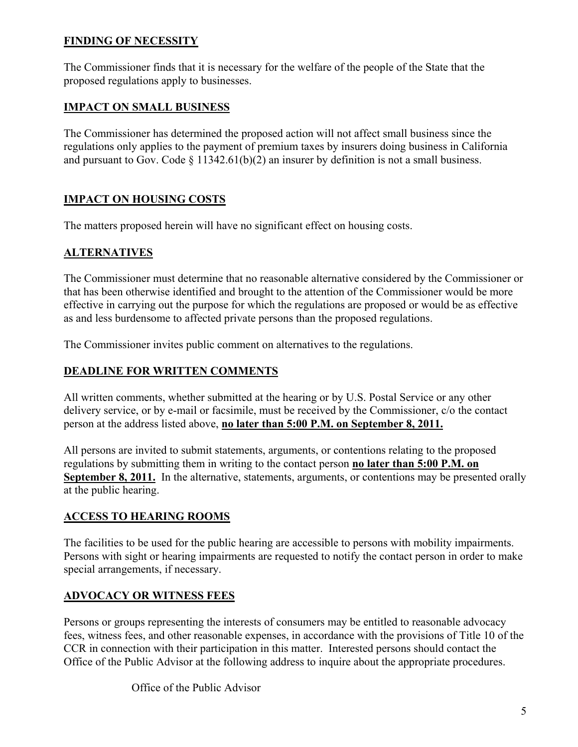## **FINDING OF NECESSITY**

The Commissioner finds that it is necessary for the welfare of the people of the State that the proposed regulations apply to businesses.

## **IMPACT ON SMALL BUSINESS**

The Commissioner has determined the proposed action will not affect small business since the regulations only applies to the payment of premium taxes by insurers doing business in California and pursuant to Gov. Code  $\S$  11342.61(b)(2) an insurer by definition is not a small business.

## **IMPACT ON HOUSING COSTS**

The matters proposed herein will have no significant effect on housing costs.

#### **ALTERNATIVES**

The Commissioner must determine that no reasonable alternative considered by the Commissioner or that has been otherwise identified and brought to the attention of the Commissioner would be more effective in carrying out the purpose for which the regulations are proposed or would be as effective as and less burdensome to affected private persons than the proposed regulations.

The Commissioner invites public comment on alternatives to the regulations.

#### **DEADLINE FOR WRITTEN COMMENTS**

All written comments, whether submitted at the hearing or by U.S. Postal Service or any other delivery service, or by e-mail or facsimile, must be received by the Commissioner, c/o the contact person at the address listed above, **no later than 5:00 P.M. on September 8, 2011.** 

All persons are invited to submit statements, arguments, or contentions relating to the proposed regulations by submitting them in writing to the contact person **no later than 5:00 P.M. on September 8, 2011.** In the alternative, statements, arguments, or contentions may be presented orally at the public hearing.

#### **ACCESS TO HEARING ROOMS**

The facilities to be used for the public hearing are accessible to persons with mobility impairments. Persons with sight or hearing impairments are requested to notify the contact person in order to make special arrangements, if necessary.

#### **ADVOCACY OR WITNESS FEES**

Persons or groups representing the interests of consumers may be entitled to reasonable advocacy fees, witness fees, and other reasonable expenses, in accordance with the provisions of Title 10 of the CCR in connection with their participation in this matter. Interested persons should contact the Office of the Public Advisor at the following address to inquire about the appropriate procedures.

Office of the Public Advisor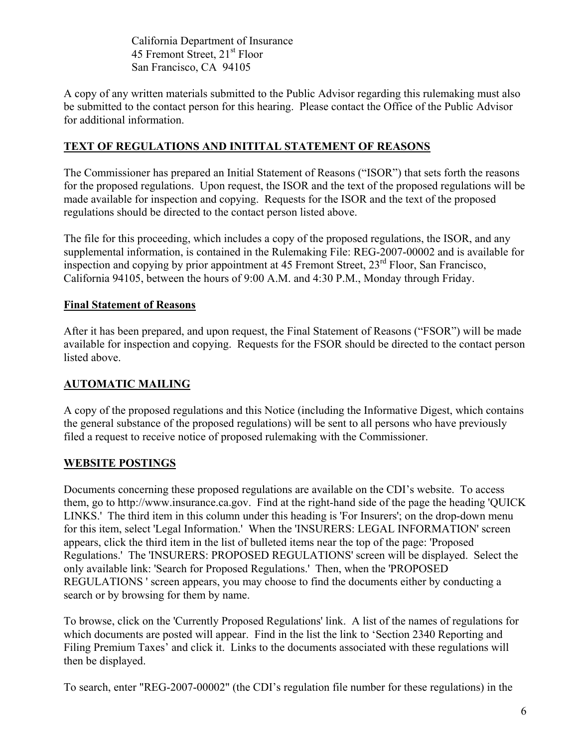California Department of Insurance 45 Fremont Street, 21<sup>st</sup> Floor San Francisco, CA 94105

A copy of any written materials submitted to the Public Advisor regarding this rulemaking must also be submitted to the contact person for this hearing. Please contact the Office of the Public Advisor for additional information.

## **TEXT OF REGULATIONS AND INITITAL STATEMENT OF REASONS**

The Commissioner has prepared an Initial Statement of Reasons ("ISOR") that sets forth the reasons for the proposed regulations. Upon request, the ISOR and the text of the proposed regulations will be made available for inspection and copying. Requests for the ISOR and the text of the proposed regulations should be directed to the contact person listed above.

The file for this proceeding, which includes a copy of the proposed regulations, the ISOR, and any supplemental information, is contained in the Rulemaking File: REG-2007-00002 and is available for inspection and copying by prior appointment at 45 Fremont Street, 23<sup>rd</sup> Floor, San Francisco, California 94105, between the hours of 9:00 A.M. and 4:30 P.M., Monday through Friday.

#### **Final Statement of Reasons**

After it has been prepared, and upon request, the Final Statement of Reasons ("FSOR") will be made available for inspection and copying. Requests for the FSOR should be directed to the contact person listed above.

## **AUTOMATIC MAILING**

A copy of the proposed regulations and this Notice (including the Informative Digest, which contains the general substance of the proposed regulations) will be sent to all persons who have previously filed a request to receive notice of proposed rulemaking with the Commissioner.

## **WEBSITE POSTINGS**

Documents concerning these proposed regulations are available on the CDI's website. To access them, go to http://www.insurance.ca.gov. Find at the right-hand side of the page the heading 'QUICK LINKS.' The third item in this column under this heading is 'For Insurers'; on the drop-down menu for this item, select 'Legal Information.' When the 'INSURERS: LEGAL INFORMATION' screen appears, click the third item in the list of bulleted items near the top of the page: 'Proposed Regulations.' The 'INSURERS: PROPOSED REGULATIONS' screen will be displayed. Select the only available link: 'Search for Proposed Regulations.' Then, when the 'PROPOSED REGULATIONS ' screen appears, you may choose to find the documents either by conducting a search or by browsing for them by name.

To browse, click on the 'Currently Proposed Regulations' link. A list of the names of regulations for which documents are posted will appear. Find in the list the link to 'Section 2340 Reporting and Filing Premium Taxes' and click it. Links to the documents associated with these regulations will then be displayed.

To search, enter "REG-2007-00002" (the CDI's regulation file number for these regulations) in the